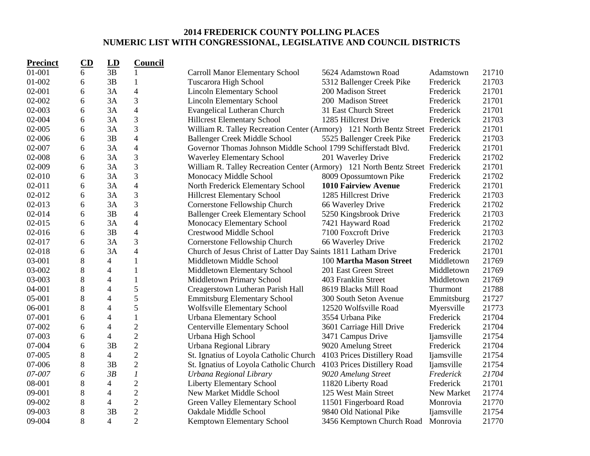## **2014 FREDERICK COUNTY POLLING PLACES NUMERIC LIST WITH CONGRESSIONAL, LEGISLATIVE AND COUNCIL DISTRICTS**

| <b>Precinct</b> | CD | LD                       | <b>Council</b>           |                                                                               |                             |                   |       |
|-----------------|----|--------------------------|--------------------------|-------------------------------------------------------------------------------|-----------------------------|-------------------|-------|
| 01-001          | 6  | 3B                       | 1                        | <b>Carroll Manor Elementary School</b>                                        | 5624 Adamstown Road         | Adamstown         | 21710 |
| 01-002          | 6  | 3B                       | 1                        | Tuscarora High School                                                         | 5312 Ballenger Creek Pike   | Frederick         | 21703 |
| 02-001          | 6  | 3A                       | $\overline{\mathcal{L}}$ | <b>Lincoln Elementary School</b>                                              | 200 Madison Street          | Frederick         | 21701 |
| 02-002          | 6  | 3A                       | 3                        | <b>Lincoln Elementary School</b>                                              | 200 Madison Street          | Frederick         | 21701 |
| 02-003          | 6  | 3A                       | $\overline{4}$           | <b>Evangelical Lutheran Church</b>                                            | 31 East Church Street       | Frederick         | 21701 |
| 02-004          | 6  | 3A                       | 3                        | <b>Hillcrest Elementary School</b>                                            | 1285 Hillcrest Drive        | Frederick         | 21703 |
| 02-005          | 6  | 3A                       | 3                        | William R. Talley Recreation Center (Armory) 121 North Bentz Street Frederick |                             |                   | 21701 |
| 02-006          | 6  | 3B                       | $\overline{4}$           | <b>Ballenger Creek Middle School</b>                                          | 5525 Ballenger Creek Pike   | Frederick         | 21703 |
| 02-007          | 6  | 3A                       | $\overline{4}$           | Governor Thomas Johnson Middle School 1799 Schifferstadt Blvd.                |                             | Frederick         | 21701 |
| 02-008          | 6  | 3A                       | 3                        | <b>Waverley Elementary School</b>                                             | 201 Waverley Drive          | Frederick         | 21702 |
| 02-009          | 6  | 3A                       | 3                        | William R. Talley Recreation Center (Armory) 121 North Bentz Street Frederick |                             |                   | 21701 |
| 02-010          | 6  | 3A                       | 3                        | Monocacy Middle School                                                        | 8009 Opossumtown Pike       | Frederick         | 21702 |
| 02-011          | 6  | 3A                       | $\overline{\mathbf{4}}$  | North Frederick Elementary School                                             | <b>1010 Fairview Avenue</b> | Frederick         | 21701 |
| 02-012          | 6  | 3A                       | 3                        | <b>Hillcrest Elementary School</b>                                            | 1285 Hillcrest Drive        | Frederick         | 21703 |
| 02-013          | 6  | 3A                       | 3                        | Cornerstone Fellowship Church                                                 | 66 Waverley Drive           | Frederick         | 21702 |
| 02-014          | 6  | 3B                       | $\overline{\mathcal{L}}$ | <b>Ballenger Creek Elementary School</b>                                      | 5250 Kingsbrook Drive       | Frederick         | 21703 |
| 02-015          | 6  | 3A                       | $\overline{\mathcal{L}}$ | Monocacy Elementary School                                                    | 7421 Hayward Road           | Frederick         | 21702 |
| 02-016          | 6  | 3B                       | $\overline{4}$           | <b>Crestwood Middle School</b>                                                | 7100 Foxcroft Drive         | Frederick         | 21703 |
| 02-017          | 6  | 3A                       | 3                        | Cornerstone Fellowship Church                                                 | 66 Waverley Drive           | Frederick         | 21702 |
| 02-018          | 6  | 3A                       | $\overline{4}$           | Church of Jesus Christ of Latter Day Saints 1811 Latham Drive                 |                             | Frederick         | 21701 |
| 03-001          | 8  | $\overline{4}$           | 1                        | Middletown Middle School                                                      | 100 Martha Mason Street     | Middletown        | 21769 |
| 03-002          | 8  | $\overline{4}$           | 1                        | Middletown Elementary School                                                  | 201 East Green Street       | Middletown        | 21769 |
| 03-003          | 8  | 4                        | $\mathbf{1}$             | Middletown Primary School                                                     | 403 Franklin Street         | Middletown        | 21769 |
| 04-001          | 8  | 4                        | 5                        | Creagerstown Lutheran Parish Hall                                             | 8619 Blacks Mill Road       | Thurmont          | 21788 |
| 05-001          | 8  | 4                        | 5                        | <b>Emmitsburg Elementary School</b>                                           | 300 South Seton Avenue      | Emmitsburg        | 21727 |
| 06-001          | 8  | 4                        | 5                        | Wolfsville Elementary School                                                  | 12520 Wolfsville Road       | Myersville        | 21773 |
| 07-001          | 6  | $\overline{\mathcal{A}}$ | 1                        | <b>Urbana Elementary School</b>                                               | 3554 Urbana Pike            | Frederick         | 21704 |
| 07-002          | 6  | $\overline{\mathcal{A}}$ | $\overline{c}$           | <b>Centerville Elementary School</b>                                          | 3601 Carriage Hill Drive    | Frederick         | 21704 |
| 07-003          | 6  | 4                        | $\overline{c}$           | Urbana High School                                                            | 3471 Campus Drive           | <i>liamsville</i> | 21754 |
| 07-004          | 6  | 3B                       | $\overline{2}$           | Urbana Regional Library                                                       | 9020 Amelung Street         | Frederick         | 21704 |
| 07-005          | 8  | $\overline{4}$           | $\overline{c}$           | St. Ignatius of Loyola Catholic Church                                        | 4103 Prices Distillery Road | <i>ljamsville</i> | 21754 |
| 07-006          | 8  | 3B                       | $\overline{2}$           | St. Ignatius of Loyola Catholic Church                                        | 4103 Prices Distillery Road | <i>liamsville</i> | 21754 |
| 07-007          | 6  | 3B                       | $\boldsymbol{l}$         | Urbana Regional Library                                                       | 9020 Amelung Street         | Frederick         | 21704 |
| 08-001          | 8  | 4                        | $\overline{2}$           | <b>Liberty Elementary School</b>                                              | 11820 Liberty Road          | Frederick         | 21701 |
| 09-001          | 8  | 4                        | $\overline{c}$           | New Market Middle School                                                      | 125 West Main Street        | New Market        | 21774 |
| 09-002          | 8  | 4                        | $\overline{2}$           | Green Valley Elementary School                                                | 11501 Fingerboard Road      | Monrovia          | 21770 |
| 09-003          | 8  | 3B                       | $\overline{2}$           | Oakdale Middle School                                                         | 9840 Old National Pike      | Ijamsville        | 21754 |
| 09-004          | 8  | $\overline{4}$           | $\overline{2}$           | Kemptown Elementary School                                                    | 3456 Kemptown Church Road   | Monrovia          | 21770 |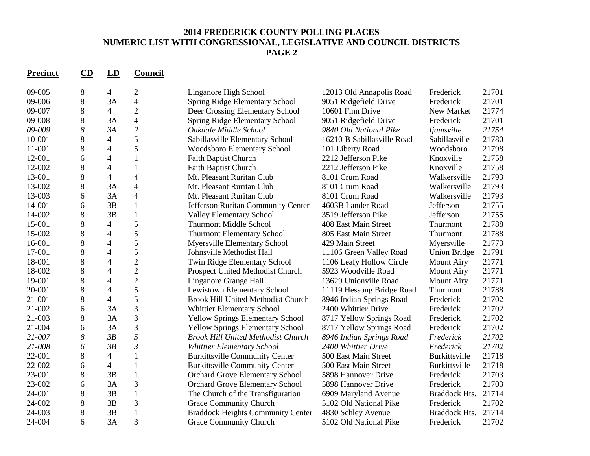## **2014 FREDERICK COUNTY POLLING PLACES NUMERIC LIST WITH CONGRESSIONAL, LEGISLATIVE AND COUNCIL DISTRICTS PAGE 2**

| <b>Precinct</b> | CD    | LD                       | Council        |                                           |                            |                     |       |
|-----------------|-------|--------------------------|----------------|-------------------------------------------|----------------------------|---------------------|-------|
| 09-005          | 8     | $\overline{4}$           | $\overline{2}$ | Linganore High School                     | 12013 Old Annapolis Road   | Frederick           | 21701 |
| 09-006          | 8     | 3A                       | $\overline{4}$ | Spring Ridge Elementary School            | 9051 Ridgefield Drive      | Frederick           | 21701 |
| 09-007          | 8     | $\overline{4}$           | $\overline{2}$ | Deer Crossing Elementary School           | 10601 Finn Drive           | New Market          | 21774 |
| 09-008          | 8     | 3A                       | $\overline{4}$ | Spring Ridge Elementary School            | 9051 Ridgefield Drive      | Frederick           | 21701 |
| 09-009          | 8     | 3A                       | $\overline{c}$ | Oakdale Middle School                     | 9840 Old National Pike     | <b>Ijamsville</b>   | 21754 |
| 10-001          | 8     | $\overline{4}$           | 5              | Sabillasville Elementary School           | 16210-B Sabillasville Road | Sabillasville       | 21780 |
| 11-001          | 8     | 4                        | 5              | Woodsboro Elementary School               | 101 Liberty Road           | Woodsboro           | 21798 |
| 12-001          | 6     | 4                        | $\mathbf{1}$   | <b>Faith Baptist Church</b>               | 2212 Jefferson Pike        | Knoxville           | 21758 |
| 12-002          | 8     | 4                        | $\mathbf{1}$   | Faith Baptist Church                      | 2212 Jefferson Pike        | Knoxville           | 21758 |
| 13-001          | 8     | $\overline{4}$           | $\overline{4}$ | Mt. Pleasant Ruritan Club                 | 8101 Crum Road             | Walkersville        | 21793 |
| 13-002          | 8     | 3A                       | $\overline{4}$ | Mt. Pleasant Ruritan Club                 | 8101 Crum Road             | Walkersville        | 21793 |
| 13-003          | 6     | 3A                       | $\overline{4}$ | Mt. Pleasant Ruritan Club                 | 8101 Crum Road             | Walkersville        | 21793 |
| 14-001          | 6     | 3B                       | $\mathbf{1}$   | Jefferson Ruritan Community Center        | 4603B Lander Road          | Jefferson           | 21755 |
| 14-002          | 8     | 3B                       | $\mathbf{1}$   | <b>Valley Elementary School</b>           | 3519 Jefferson Pike        | Jefferson           | 21755 |
| 15-001          | 8     | $\overline{\mathcal{A}}$ | 5              | <b>Thurmont Middle School</b>             | 408 East Main Street       | Thurmont            | 21788 |
| 15-002          | 8     | 4                        | 5              | <b>Thurmont Elementary School</b>         | 805 East Main Street       | Thurmont            | 21788 |
| 16-001          | 8     | 4                        | 5              | Myersville Elementary School              | 429 Main Street            | Myersville          | 21773 |
| 17-001          | 8     | 4                        | 5              | Johnsville Methodist Hall                 | 11106 Green Valley Road    | <b>Union Bridge</b> | 21791 |
| 18-001          | 8     | 4                        | $\overline{2}$ | Twin Ridge Elementary School              | 1106 Leafy Hollow Circle   | <b>Mount Airy</b>   | 21771 |
| 18-002          | 8     | 4                        | $\overline{c}$ | Prospect United Methodist Church          | 5923 Woodville Road        | <b>Mount Airy</b>   | 21771 |
| 19-001          | 8     | $\overline{4}$           | $\overline{c}$ | Linganore Grange Hall                     | 13629 Unionville Road      | <b>Mount Airy</b>   | 21771 |
| 20-001          | 8     | 4                        | 5              | Lewistown Elementary School               | 11119 Hessong Bridge Road  | Thurmont            | 21788 |
| 21-001          | 8     | $\overline{4}$           | 5              | <b>Brook Hill United Methodist Church</b> | 8946 Indian Springs Road   | Frederick           | 21702 |
| 21-002          | 6     | 3A                       | 3              | <b>Whittier Elementary School</b>         | 2400 Whittier Drive        | Frederick           | 21702 |
| 21-003          | 8     | 3A                       | 3              | <b>Yellow Springs Elementary School</b>   | 8717 Yellow Springs Road   | Frederick           | 21702 |
| 21-004          | 6     | 3A                       | 3              | <b>Yellow Springs Elementary School</b>   | 8717 Yellow Springs Road   | Frederick           | 21702 |
| 21-007          | 8     | 3B                       | 5              | <b>Brook Hill United Methodist Church</b> | 8946 Indian Springs Road   | Frederick           | 21702 |
| 21-008          | 6     | 3B                       | $\mathfrak{Z}$ | Whittier Elementary School                | 2400 Whittier Drive        | Frederick           | 21702 |
| 22-001          | 8     | 4                        | $\mathbf{1}$   | <b>Burkittsville Community Center</b>     | 500 East Main Street       | Burkittsville       | 21718 |
| 22-002          | 6     | $\overline{4}$           | $\mathbf{1}$   | <b>Burkittsville Community Center</b>     | 500 East Main Street       | Burkittsville       | 21718 |
| 23-001          | 8     | 3B                       | $\mathbf{1}$   | <b>Orchard Grove Elementary School</b>    | 5898 Hannover Drive        | Frederick           | 21703 |
| 23-002          | 6     | 3A                       | 3              | <b>Orchard Grove Elementary School</b>    | 5898 Hannover Drive        | Frederick           | 21703 |
| 24-001          | 8     | 3B                       | $\mathbf{1}$   | The Church of the Transfiguration         | 6909 Maryland Avenue       | Braddock Hts.       | 21714 |
| 24-002          | $8\,$ | 3B                       | 3              | Grace Community Church                    | 5102 Old National Pike     | Frederick           | 21702 |
| 24-003          | 8     | 3B                       | $\mathbf{1}$   | <b>Braddock Heights Community Center</b>  | 4830 Schley Avenue         | Braddock Hts.       | 21714 |
| 24-004          | 6     | 3A                       | $\overline{3}$ | <b>Grace Community Church</b>             | 5102 Old National Pike     | Frederick           | 21702 |